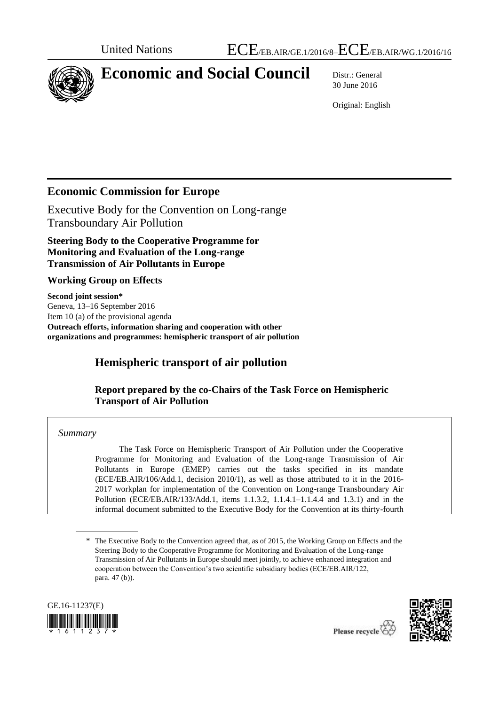

# **Economic and Social Council** Distr.: General

30 June 2016

Original: English

## **Economic Commission for Europe**

Executive Body for the Convention on Long-range Transboundary Air Pollution

**Steering Body to the Cooperative Programme for Monitoring and Evaluation of the Long-range Transmission of Air Pollutants in Europe** 

#### **Working Group on Effects**

**Second joint session\*** Geneva, 13–16 September 2016 Item 10 (a) of the provisional agenda **Outreach efforts, information sharing and cooperation with other organizations and programmes: hemispheric transport of air pollution**

# **Hemispheric transport of air pollution**

#### **Report prepared by the co-Chairs of the Task Force on Hemispheric Transport of Air Pollution**

#### *Summary*

The Task Force on Hemispheric Transport of Air Pollution under the Cooperative Programme for Monitoring and Evaluation of the Long-range Transmission of Air Pollutants in Europe (EMEP) carries out the tasks specified in its mandate (ECE/EB.AIR/106/Add.1, decision 2010/1), as well as those attributed to it in the 2016- 2017 workplan for implementation of the Convention on Long-range Transboundary Air Pollution (ECE/EB.AIR/133/Add.1, items 1.1.3.2, 1.1.4.1–1.1.4.4 and 1.3.1) and in the informal document submitted to the Executive Body for the Convention at its thirty-fourth

<sup>\*</sup> The Executive Body to the Convention agreed that, as of 2015, the Working Group on Effects and the Steering Body to the Cooperative Programme for Monitoring and Evaluation of the Long-range Transmission of Air Pollutants in Europe should meet jointly, to achieve enhanced integration and cooperation between the Convention's two scientific subsidiary bodies (ECE/EB.AIR/122, para. 47 (b)).





Please recycle  $\overline{Q}$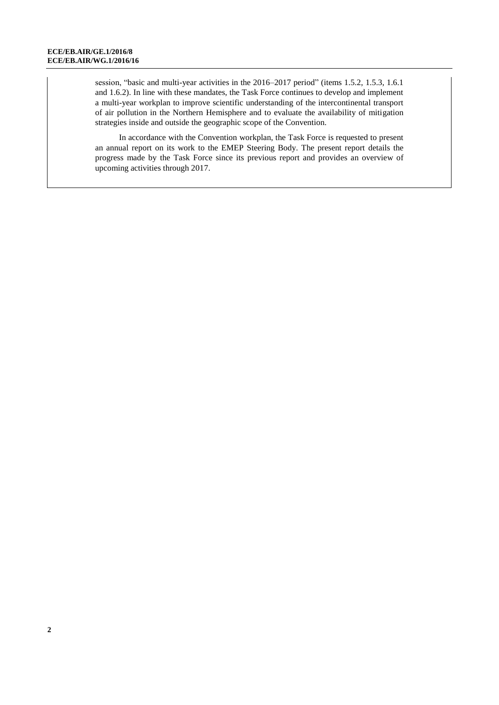session, "basic and multi-year activities in the 2016–2017 period" (items 1.5.2, 1.5.3, 1.6.1 and 1.6.2). In line with these mandates, the Task Force continues to develop and implement a multi-year workplan to improve scientific understanding of the intercontinental transport of air pollution in the Northern Hemisphere and to evaluate the availability of mitigation strategies inside and outside the geographic scope of the Convention.

In accordance with the Convention workplan, the Task Force is requested to present an annual report on its work to the EMEP Steering Body. The present report details the progress made by the Task Force since its previous report and provides an overview of upcoming activities through 2017.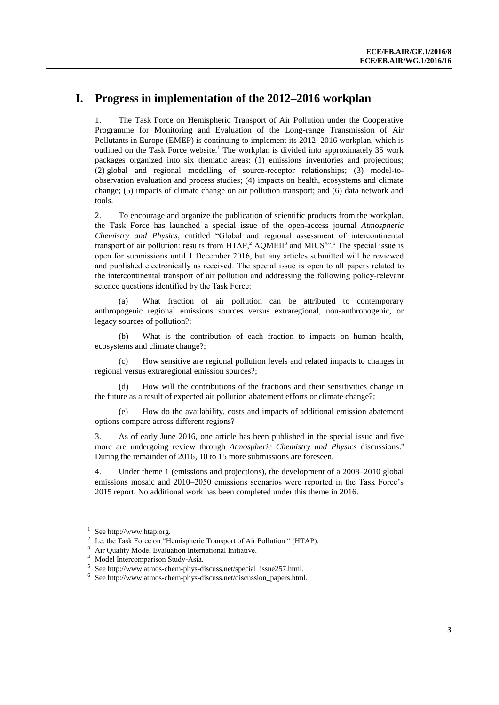## **I. Progress in implementation of the 2012–2016 workplan**

1. The Task Force on Hemispheric Transport of Air Pollution under the Cooperative Programme for Monitoring and Evaluation of the Long-range Transmission of Air Pollutants in Europe (EMEP) is continuing to implement its 2012–2016 workplan, which is outlined on the Task Force website.<sup>1</sup> The workplan is divided into approximately 35 work packages organized into six thematic areas: (1) emissions inventories and projections; (2) global and regional modelling of source-receptor relationships; (3) model-toobservation evaluation and process studies; (4) impacts on health, ecosystems and climate change; (5) impacts of climate change on air pollution transport; and (6) data network and tools.

2. To encourage and organize the publication of scientific products from the workplan, the Task Force has launched a special issue of the open-access journal *Atmospheric Chemistry and Physics*, entitled "Global and regional assessment of intercontinental transport of air pollution: results from  $HTAP$ ,  $AQMEII$ <sup>3</sup> and  $MICS<sup>4</sup>$ .<sup>5</sup> The special issue is open for submissions until 1 December 2016, but any articles submitted will be reviewed and published electronically as received. The special issue is open to all papers related to the intercontinental transport of air pollution and addressing the following policy-relevant science questions identified by the Task Force:

(a) What fraction of air pollution can be attributed to contemporary anthropogenic regional emissions sources versus extraregional, non-anthropogenic, or legacy sources of pollution?;

(b) What is the contribution of each fraction to impacts on human health, ecosystems and climate change?;

How sensitive are regional pollution levels and related impacts to changes in regional versus extraregional emission sources?;

(d) How will the contributions of the fractions and their sensitivities change in the future as a result of expected air pollution abatement efforts or climate change?;

How do the availability, costs and impacts of additional emission abatement options compare across different regions?

3. As of early June 2016, one article has been published in the special issue and five more are undergoing review through *Atmospheric Chemistry and Physics* discussions. 6 During the remainder of 2016, 10 to 15 more submissions are foreseen.

4. Under theme 1 (emissions and projections), the development of a 2008–2010 global emissions mosaic and 2010–2050 emissions scenarios were reported in the Task Force's 2015 report. No additional work has been completed under this theme in 2016.

<sup>1</sup> Se[e http://www.htap.org.](http://www.htap.org/)

<sup>2</sup> I.e. the Task Force on "Hemispheric Transport of Air Pollution " (HTAP).

Air Quality Model Evaluation International Initiative.

Model Intercomparison Study-Asia.

E Se[e http://www.atmos-chem-phys-discuss.net/special\\_issue257.html.](http://www.atmos-chem-phys-discuss.net/special_issue257.html)<br>  $\frac{6}{5}$  See http://www.atmos-chem-phys-discuss pat/discussion, papers html

Se[e http://www.atmos-chem-phys-discuss.net/discussion\\_papers.html.](http://www.atmos-chem-phys-discuss.net/discussion_papers.html)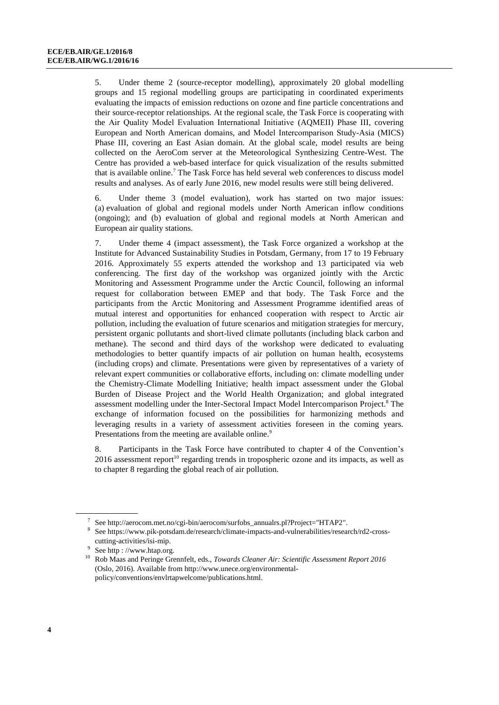5. Under theme 2 (source-receptor modelling), approximately 20 global modelling groups and 15 regional modelling groups are participating in coordinated experiments evaluating the impacts of emission reductions on ozone and fine particle concentrations and their source-receptor relationships. At the regional scale, the Task Force is cooperating with the Air Quality Model Evaluation International Initiative (AQMEII) Phase III, covering European and North American domains, and Model Intercomparison Study-Asia (MICS) Phase III, covering an East Asian domain. At the global scale, model results are being collected on the AeroCom server at the Meteorological Synthesizing Centre-West. The Centre has provided a web-based interface for quick visualization of the results submitted that is available online.<sup>7</sup> The Task Force has held several web conferences to discuss model results and analyses. As of early June 2016, new model results were still being delivered.

6. Under theme 3 (model evaluation), work has started on two major issues: (a) evaluation of global and regional models under North American inflow conditions (ongoing); and (b) evaluation of global and regional models at North American and European air quality stations.

7. Under theme 4 (impact assessment), the Task Force organized a workshop at the Institute for Advanced Sustainability Studies in Potsdam, Germany, from 17 to 19 February 2016. Approximately 55 experts attended the workshop and 13 participated via web conferencing. The first day of the workshop was organized jointly with the Arctic Monitoring and Assessment Programme under the Arctic Council, following an informal request for collaboration between EMEP and that body. The Task Force and the participants from the Arctic Monitoring and Assessment Programme identified areas of mutual interest and opportunities for enhanced cooperation with respect to Arctic air pollution, including the evaluation of future scenarios and mitigation strategies for mercury, persistent organic pollutants and short-lived climate pollutants (including black carbon and methane). The second and third days of the workshop were dedicated to evaluating methodologies to better quantify impacts of air pollution on human health, ecosystems (including crops) and climate. Presentations were given by representatives of a variety of relevant expert communities or collaborative efforts, including on: climate modelling under the Chemistry-Climate Modelling Initiative; health impact assessment under the Global Burden of Disease Project and the World Health Organization; and global integrated assessment modelling under the Inter-Sectoral Impact Model Intercomparison Project.<sup>8</sup> The exchange of information focused on the possibilities for harmonizing methods and leveraging results in a variety of assessment activities foreseen in the coming years. Presentations from the meeting are available online.<sup>9</sup>

8. Participants in the Task Force have contributed to chapter 4 of the Convention's  $2016$  assessment report<sup>10</sup> regarding trends in tropospheric ozone and its impacts, as well as to chapter 8 regarding the global reach of air pollution.

<sup>7</sup> Se[e http://aerocom.met.no/cgi-bin/aerocom/surfobs\\_annualrs.pl?Project="HTAP2"](http://aerocom.met.no/cgi-bin/aerocom/surfobs_annualrs.pl?Project=%22HTAP2).

<sup>8</sup> Se[e https://www.pik-potsdam.de/research/climate-impacts-and-vulnerabilities/research/rd2-cross](https://www.pik-potsdam.de/research/climate-impacts-and-vulnerabilities/research/rd2-cross-cutting-activities/isi-mip)[cutting-activities/isi-mip.](https://www.pik-potsdam.de/research/climate-impacts-and-vulnerabilities/research/rd2-cross-cutting-activities/isi-mip)

<sup>9</sup> See http : [//www.htap.org.](http://www.htap.org/)

<sup>10</sup> Rob Maas and Peringe Grennfelt, eds., *Towards Cleaner Air: Scientific Assessment Report 2016* (Oslo, 2016). Available fro[m http://www.unece.org/environmental](http://www.unece.org/environmental-policy/conventions/envlrtapwelcome/publications.html)[policy/conventions/envlrtapwelcome/publications.html.](http://www.unece.org/environmental-policy/conventions/envlrtapwelcome/publications.html)